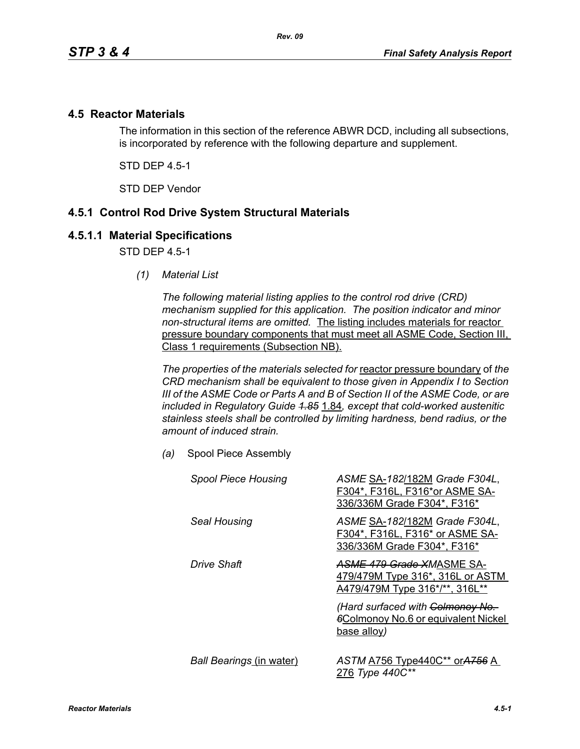#### **4.5 Reactor Materials**

The information in this section of the reference ABWR DCD, including all subsections, is incorporated by reference with the following departure and supplement.

STD DEP 4.5-1

STD DEP Vendor

### **4.5.1 Control Rod Drive System Structural Materials**

#### **4.5.1.1 Material Specifications**

STD DFP 45-1

*(1) Material List*

*The following material listing applies to the control rod drive (CRD) mechanism supplied for this application. The position indicator and minor non-structural items are omitted.* The listing includes materials for reactor pressure boundary components that must meet all ASME Code, Section III, Class 1 requirements (Subsection NB).

*The properties of the materials selected for* reactor pressure boundary of *the CRD mechanism shall be equivalent to those given in Appendix I to Section III of the ASME Code or Parts A and B of Section II of the ASME Code, or are included in Regulatory Guide 1.85* 1.84*, except that cold-worked austenitic stainless steels shall be controlled by limiting hardness, bend radius, or the amount of induced strain.*

*(a)* Spool Piece Assembly

| <b>Spool Piece Housing</b>      | ASME SA-182/182M Grade F304L,<br>F304*, F316L, F316*or ASME SA-<br>336/336M Grade F304*, F316*  |
|---------------------------------|-------------------------------------------------------------------------------------------------|
| Seal Housing                    | ASME SA-182/182M Grade F304L,<br>F304*, F316L, F316* or ASME SA-<br>336/336M Grade F304*, F316* |
| Drive Shaft                     | ASME 479 Grade XMASME SA-<br>479/479M Type 316*, 316L or ASTM<br>A479/479M Type 316*/**, 316L** |
|                                 | (Hard surfaced with Colmonoy No.<br><b>6Colmonoy No.6 or equivalent Nickel</b><br>base alloy)   |
| <b>Ball Bearings (in water)</b> | ASTM A756 Type440C** or A756 A<br>276 Type 440C**                                               |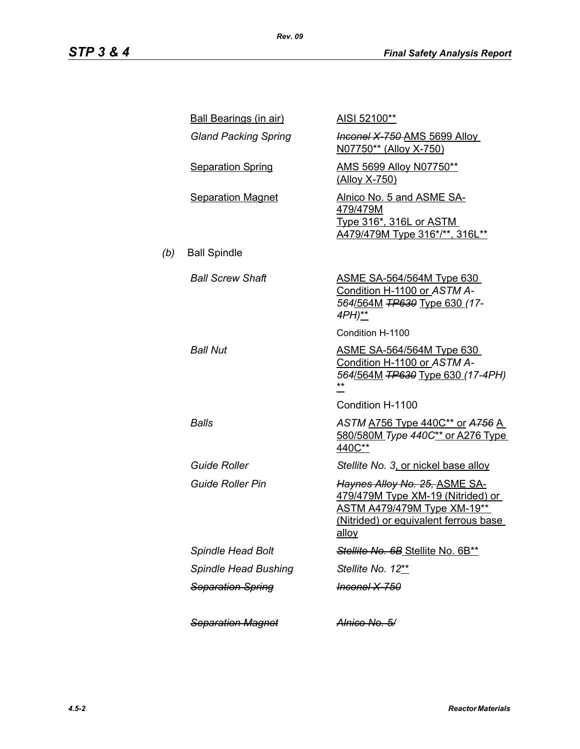|     | <b>Ball Bearings (in air)</b> | AISI 52100**                                                                                                                                                      |
|-----|-------------------------------|-------------------------------------------------------------------------------------------------------------------------------------------------------------------|
|     | <b>Gland Packing Spring</b>   | <b>Inconel X 750 AMS 5699 Alloy</b><br>N07750** (Alloy X-750)                                                                                                     |
|     | <b>Separation Spring</b>      | AMS 5699 Alloy N07750**<br>(Alloy X-750)                                                                                                                          |
|     | <b>Separation Magnet</b>      | Alnico No. 5 and ASME SA-<br>479/479M<br><u>Type 316*, 316L or ASTM</u><br>A479/479M Type 316*/**, 316L**                                                         |
| (b) | <b>Ball Spindle</b>           |                                                                                                                                                                   |
|     | <b>Ball Screw Shaft</b>       | <u>ASME SA-564/564M Type 630</u><br>Condition H-1100 or ASTM A-<br>564/564M TP630 Type 630 (17-<br>4PH)**                                                         |
|     |                               | Condition H-1100                                                                                                                                                  |
|     | <b>Ball Nut</b>               | <u>ASME SA-564/564M Type 630</u><br>Condition H-1100 or ASTM A-<br>564/564M TP630 Type 630 (17-4PH)                                                               |
|     |                               | Condition H-1100                                                                                                                                                  |
|     | Balls                         | ASTM A756 Type 440C** or A756 A<br>580/580M Type 440C** or A276 Type<br>440C**                                                                                    |
|     | <b>Guide Roller</b>           | Stellite No. 3, or nickel base alloy                                                                                                                              |
|     | <b>Guide Roller Pin</b>       | Haynes Alloy No. 25, ASME SA-<br>479/479M Type XM-19 (Nitrided) or<br><b>ASTM A479/479M Type XM-19**</b><br>(Nitrided) or equivalent ferrous base<br><u>alloy</u> |
|     | <b>Spindle Head Bolt</b>      | Stellite No. 6B Stellite No. 6B**                                                                                                                                 |
|     | Spindle Head Bushing          | Stellite No. 12**                                                                                                                                                 |
|     | <b>Separation Spring</b>      | <del>Inconel X-750</del>                                                                                                                                          |
|     | <b>Separation Magnet</b>      | <del>Alnico No. 5/</del>                                                                                                                                          |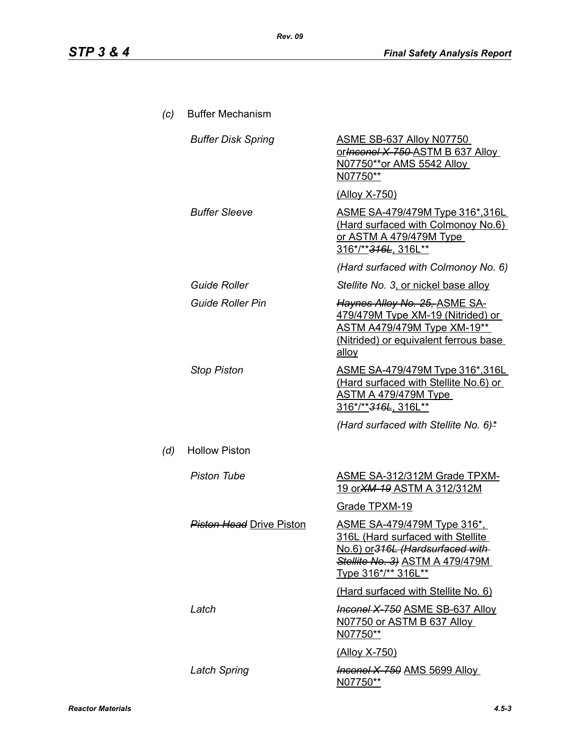| (c) | <b>Buffer Mechanism</b>         |                                                                                                                                                                               |
|-----|---------------------------------|-------------------------------------------------------------------------------------------------------------------------------------------------------------------------------|
|     | <b>Buffer Disk Spring</b>       | <u>ASME SB-637 Alloy N07750</u><br>or Inconel X 750 ASTM B 637 Alloy<br>N07750**or AMS 5542 Alloy<br>N07750**                                                                 |
|     |                                 | <u>(Alloy X-750)</u>                                                                                                                                                          |
|     | <b>Buffer Sleeve</b>            | ASME SA-479/479M Type 316*,316L<br>(Hard surfaced with Colmonoy No.6)<br><u>or ASTM A 479/479M Type</u><br>316*/** <del>316L</del> , 316L**                                   |
|     |                                 | (Hard surfaced with Colmonoy No. 6)                                                                                                                                           |
|     | <b>Guide Roller</b>             | Stellite No. 3, or nickel base alloy                                                                                                                                          |
|     | <b>Guide Roller Pin</b>         | Haynes Alloy No. 25, ASME SA-<br>479/479M Type XM-19 (Nitrided) or<br><b>ASTM A479/479M Type XM-19**</b><br>(Nitrided) or equivalent ferrous base<br>alloy                    |
|     | <b>Stop Piston</b>              | ASME SA-479/479M Type 316*,316L<br>(Hard surfaced with Stellite No.6) or<br><u>ASTM A 479/479M Type_</u><br>316*/**316L, 316L**                                               |
|     |                                 | (Hard surfaced with Stellite No. 6)*                                                                                                                                          |
| (d) | <b>Hollow Piston</b>            |                                                                                                                                                                               |
|     | <b>Piston Tube</b>              | <b>ASME SA-312/312M Grade TPXM-</b><br><u>19 or XM-19 ASTM A 312/312M</u>                                                                                                     |
|     |                                 | Grade TPXM-19                                                                                                                                                                 |
|     | <b>Piston Head</b> Drive Piston | <u>ASME SA-479/479M Type 316*,</u><br><u>316L (Hard surfaced with Stellite.</u><br>No.6) or 316L (Hardsurfaced with<br>Stellite No. 3) ASTM A 479/479M<br>Type 316*/** 316L** |
|     |                                 | (Hard surfaced with Stellite No. 6)                                                                                                                                           |
|     | Latch                           | <b>Inconel X-750 ASME SB-637 Alloy</b><br>N07750 or ASTM B 637 Alloy<br>N07750**                                                                                              |
|     |                                 | (Alloy X-750)                                                                                                                                                                 |
|     | <b>Latch Spring</b>             | <b>Inconel X-750 AMS 5699 Alloy</b><br><u>N07750**</u>                                                                                                                        |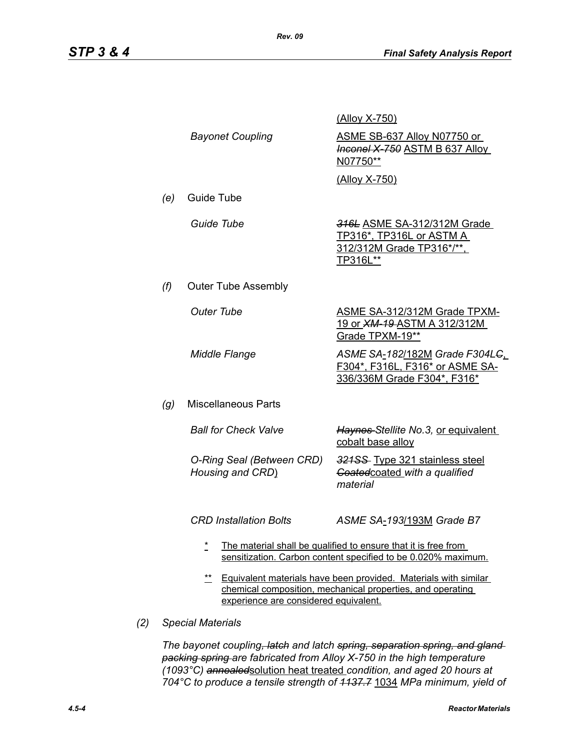|     |                                                                                                                                                                                 |                                               | <u>(Alloy X-750)</u>                                                                                                            |
|-----|---------------------------------------------------------------------------------------------------------------------------------------------------------------------------------|-----------------------------------------------|---------------------------------------------------------------------------------------------------------------------------------|
|     |                                                                                                                                                                                 | <b>Bayonet Coupling</b>                       | ASME SB-637 Alloy N07750 or<br><b>Inconel X-750 ASTM B 637 Alloy</b><br>N07750**                                                |
|     |                                                                                                                                                                                 |                                               | (Alloy X-750)                                                                                                                   |
|     | (e)                                                                                                                                                                             | Guide Tube                                    |                                                                                                                                 |
|     |                                                                                                                                                                                 | Guide Tube                                    | 316L ASME SA-312/312M Grade<br>TP316*, TP316L or ASTM A<br>312/312M Grade TP316*/**,<br>TP316L**                                |
|     | (f)                                                                                                                                                                             | <b>Outer Tube Assembly</b>                    |                                                                                                                                 |
|     |                                                                                                                                                                                 | <b>Outer Tube</b>                             | <b>ASME SA-312/312M Grade TPXM-</b><br>19 or <b>XM-19-ASTM A 312/312M</b><br>Grade TPXM-19**                                    |
|     |                                                                                                                                                                                 | <b>Middle Flange</b>                          | ASME SA-182/182M Grade F304L <del>C</del><br>F304*, F316L, F316* or ASME SA-<br>336/336M Grade F304*, F316*                     |
|     | (g)                                                                                                                                                                             | <b>Miscellaneous Parts</b>                    |                                                                                                                                 |
|     |                                                                                                                                                                                 | <b>Ball for Check Valve</b>                   | Haynes-Stellite No.3, or equivalent<br>cobalt base alloy                                                                        |
|     |                                                                                                                                                                                 | O-Ring Seal (Between CRD)<br>Housing and CRD) | 321SS Type 321 stainless steel<br>Goated coated with a qualified<br>material                                                    |
|     |                                                                                                                                                                                 | <b>CRD Installation Bolts</b>                 | ASME SA-193/193M Grade B7                                                                                                       |
|     |                                                                                                                                                                                 | $\star$                                       | The material shall be qualified to ensure that it is free from<br>sensitization. Carbon content specified to be 0.020% maximum. |
|     | $***$<br>Equivalent materials have been provided. Materials with similar<br>chemical composition, mechanical properties, and operating<br>experience are considered equivalent. |                                               |                                                                                                                                 |
| (2) | <b>Special Materials</b>                                                                                                                                                        |                                               |                                                                                                                                 |

*The bayonet coupling, latch and latch spring, separation spring, and gland packing spring are fabricated from Alloy X-750 in the high temperature (1093°C) annealed*solution heat treated *condition, and aged 20 hours at 704°C to produce a tensile strength of 1137.7* 1034 *MPa minimum, yield of*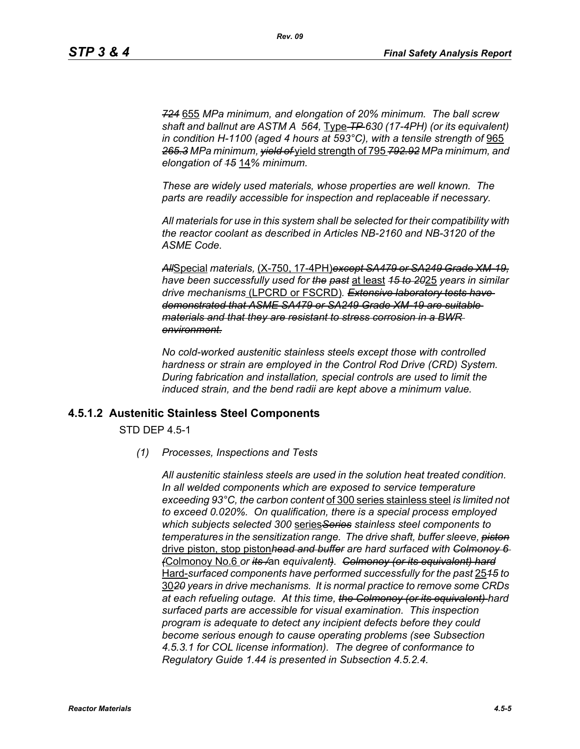*724* 655 *MPa minimum, and elongation of 20% minimum. The ball screw shaft and ballnut are ASTM A 564,* Type *TP 630 (17-4PH) (or its equivalent) in condition H-1100 (aged 4 hours at 593°C), with a tensile strength of* 965 *265.3 MPa minimum, yield of* yield strength of 795 *792.92 MPa minimum, and elongation of 15* 14*% minimum.*

*These are widely used materials, whose properties are well known. The parts are readily accessible for inspection and replaceable if necessary.*

*All materials for use in this system shall be selected for their compatibility with the reactor coolant as described in Articles NB-2160 and NB-3120 of the ASME Code.*

*All*Special *materials,* (X-750, 17-4PH)*except SA479 or SA249 Grade XM-19, have been successfully used for the past* at least *15 to 20*25 *years in similar drive mechanisms* (LPCRD or FSCRD)*. Extensive laboratory tests have demonstrated that ASME SA479 or SA249 Grade XM-19 are suitable materials and that they are resistant to stress corrosion in a BWR environment.*

*No cold-worked austenitic stainless steels except those with controlled hardness or strain are employed in the Control Rod Drive (CRD) System. During fabrication and installation, special controls are used to limit the induced strain, and the bend radii are kept above a minimum value.*

#### **4.5.1.2 Austenitic Stainless Steel Components**

STD DEP 4.5-1

*(1) Processes, Inspections and Tests*

*All austenitic stainless steels are used in the solution heat treated condition. In all welded components which are exposed to service temperature exceeding 93°C, the carbon content* of 300 series stainless steel *is limited not to exceed 0.020%. On qualification, there is a special process employed which subjects selected 300* series*Series stainless steel components to temperatures in the sensitization range. The drive shaft, buffer sleeve, piston* drive piston, stop piston*head and buffer are hard surfaced with Colmonoy 6 (*Colmonoy No.6 *or its /*an *equivalent). Colmonoy (or its equivalent) hard* Hard-*surfaced components have performed successfully for the past* 25*15 to* 30*20 years in drive mechanisms. It is normal practice to remove some CRDs at each refueling outage. At this time, the Colmonoy (or its equivalent) hard surfaced parts are accessible for visual examination. This inspection program is adequate to detect any incipient defects before they could become serious enough to cause operating problems (see Subsection 4.5.3.1 for COL license information). The degree of conformance to Regulatory Guide 1.44 is presented in Subsection 4.5.2.4.*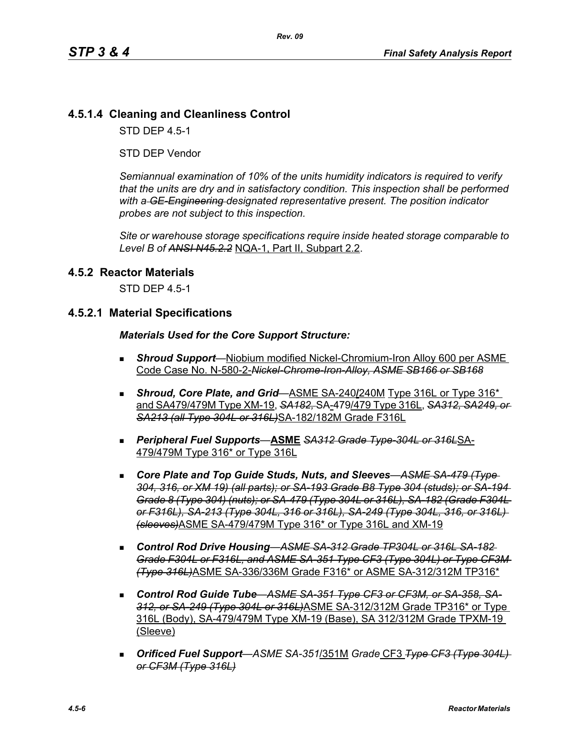## **4.5.1.4 Cleaning and Cleanliness Control**

STD DEP 4.5-1

STD DEP Vendor

*Semiannual examination of 10% of the units humidity indicators is required to verify that the units are dry and in satisfactory condition. This inspection shall be performed with a GE-Engineering designated representative present. The position indicator probes are not subject to this inspection.*

*Site or warehouse storage specifications require inside heated storage comparable to Level B of ANSI N45.2.2* NQA-1, Part II, Subpart 2.2.

#### **4.5.2 Reactor Materials**

STD DEP 4.5-1

#### **4.5.2.1 Material Specifications**

#### *Materials Used for the Core Support Structure:*

- *Shroud Support*—Niobium modified Nickel-Chromium-Iron Alloy 600 per ASME Code Case No. N-580-2-*Nickel-Chrome-Iron-Alloy, ASME SB166 or SB168*
- **Shroud, Core Plate, and Grid**—ASME SA-240/240M Type 316L or Type 316<sup>\*</sup> and SA479/479M Type XM-19, *SA182,* SA-479/479 Type 316L, *SA312, SA249, or SA213 (all Type 304L or 316L)*SA-182/182M Grade F316L
- *Peripheral Fuel Supports*—**ASME** *SA312 Grade Type-304L or 316L*SA-479/479M Type 316\* or Type 316L
- *Core Plate and Top Guide Studs, Nuts, and Sleeves*—*ASME SA-479 (Type 304, 316, or XM 19) (all parts); or SA-193 Grade B8 Type 304 (studs); or SA-194 Grade 8 (Type 304) (nuts); or SA-479 (Type 304L or 316L), SA-182 (Grade F304L or F316L), SA-213 (Type 304L, 316 or 316L), SA-249 (Type 304L, 316, or 316L) (sleeves)*ASME SA-479/479M Type 316\* or Type 316L and XM-19
- *Control Rod Drive Housing*—*ASME SA-312 Grade TP304L or 316L SA-182 Grade F304L or F316L, and ASME SA-351 Type CF3 (Type 304L) or Type CF3M (Type 316L)*ASME SA-336/336M Grade F316\* or ASME SA-312/312M TP316\*
- *Control Rod Guide Tube*—*ASME SA-351 Type CF3 or CF3M, or SA-358, SA-312, or SA-249 (Type 304L or 316L)*ASME SA-312/312M Grade TP316\* or Type 316L (Body), SA-479/479M Type XM-19 (Base), SA 312/312M Grade TPXM-19 (Sleeve)
- *Orificed Fuel Support*—*ASME SA-351*/351M *Grade* CF3 *Type CF3 (Type 304L) or CF3M (Type 316L)*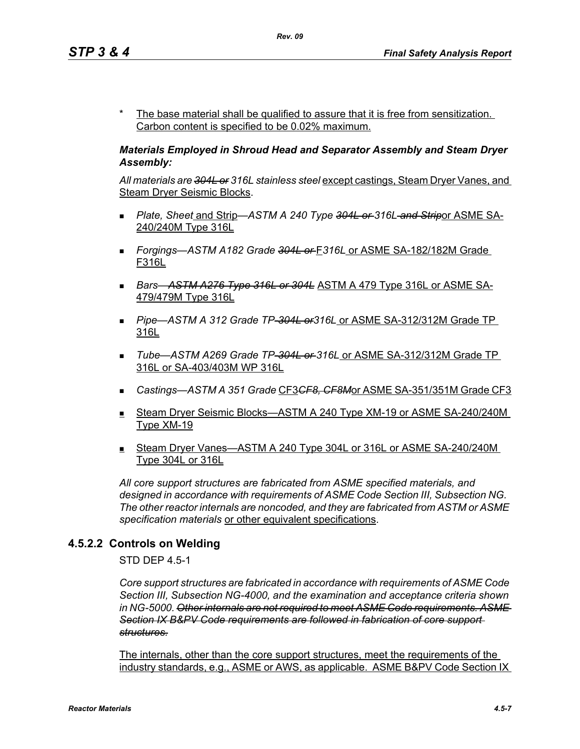The base material shall be qualified to assure that it is free from sensitization. Carbon content is specified to be 0.02% maximum.

#### *Materials Employed in Shroud Head and Separator Assembly and Steam Dryer Assembly:*

*All materials are 304L or 316L stainless steel* except castings, Steam Dryer Vanes, and Steam Dryer Seismic Blocks.

- *Plate, Sheet* and Strip—*ASTM A 240 Type 304L or 316L and Strip*or ASME SA-240/240M Type 316L
- *Forgings—ASTM A182 Grade 304L or* F*316L* or ASME SA-182/182M Grade F316L
- *Bars*—*ASTM A276 Type 316L or 304L* ASTM A 479 Type 316L or ASME SA-479/479M Type 316L
- *Pipe*—*ASTM A 312 Grade TP-304L or316L* or ASME SA-312/312M Grade TP 316L
- *Tube*—*ASTM A269 Grade TP-304L or 316L* or ASME SA-312/312M Grade TP 316L or SA-403/403M WP 316L
- *Castings—ASTM A 351 Grade* CF3*CF8, CF8M*or ASME SA-351/351M Grade CF3
- Steam Dryer Seismic Blocks—ASTM A 240 Type XM-19 or ASME SA-240/240M Type XM-19
- Steam Dryer Vanes—ASTM A 240 Type 304L or 316L or ASME SA-240/240M Type 304L or 316L

*All core support structures are fabricated from ASME specified materials, and designed in accordance with requirements of ASME Code Section III, Subsection NG. The other reactor internals are noncoded, and they are fabricated from ASTM or ASME specification materials* or other equivalent specifications.

### **4.5.2.2 Controls on Welding**

STD DEP 4.5-1

*Core support structures are fabricated in accordance with requirements of ASME Code Section III, Subsection NG-4000, and the examination and acceptance criteria shown in NG-5000. Other internals are not required to meet ASME Code requirements. ASME Section IX B&PV Code requirements are followed in fabrication of core support structures.*

The internals, other than the core support structures, meet the requirements of the industry standards, e.g., ASME or AWS, as applicable. ASME B&PV Code Section IX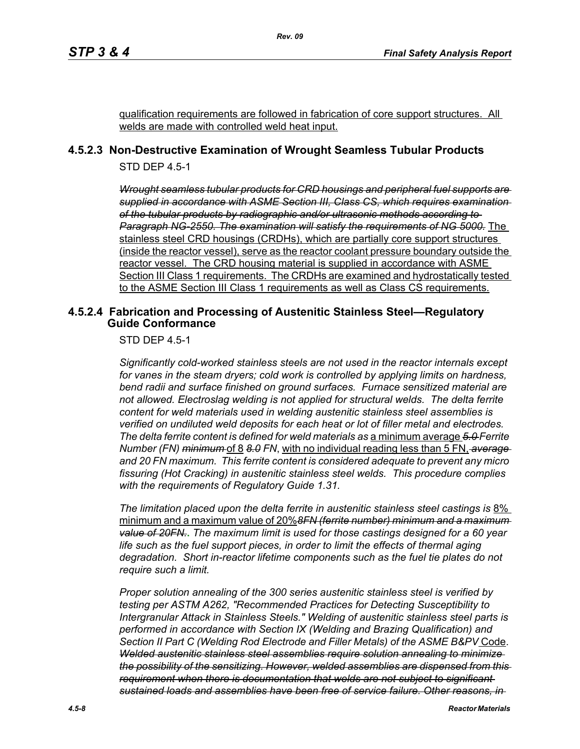qualification requirements are followed in fabrication of core support structures. All welds are made with controlled weld heat input.

### **4.5.2.3 Non-Destructive Examination of Wrought Seamless Tubular Products**

*Rev. 09*

STD DEP 4.5-1

*Wrought seamless tubular products for CRD housings and peripheral fuel supports are supplied in accordance with ASME Section III, Class CS, which requires examination of the tubular products by radiographic and/or ultrasonic methods according to Paragraph NG-2550. The examination will satisfy the requirements of NG 5000.* The stainless steel CRD housings (CRDHs), which are partially core support structures (inside the reactor vessel), serve as the reactor coolant pressure boundary outside the reactor vessel. The CRD housing material is supplied in accordance with ASME Section III Class 1 requirements. The CRDHs are examined and hydrostatically tested to the ASME Section III Class 1 requirements as well as Class CS requirements.

#### **4.5.2.4 Fabrication and Processing of Austenitic Stainless Steel—Regulatory Guide Conformance**

STD DEP 4.5-1

*Significantly cold-worked stainless steels are not used in the reactor internals except for vanes in the steam dryers; cold work is controlled by applying limits on hardness, bend radii and surface finished on ground surfaces. Furnace sensitized material are not allowed. Electroslag welding is not applied for structural welds. The delta ferrite content for weld materials used in welding austenitic stainless steel assemblies is verified on undiluted weld deposits for each heat or lot of filler metal and electrodes. The delta ferrite content is defined for weld materials as* a minimum average *5.0 Ferrite Number (FN) minimum* of 8 *8.0 FN*, with no individual reading less than 5 FN, *average and 20 FN maximum. This ferrite content is considered adequate to prevent any micro fissuring (Hot Cracking) in austenitic stainless steel welds. This procedure complies with the requirements of Regulatory Guide 1.31.*

*The limitation placed upon the delta ferrite in austenitic stainless steel castings is* 8% minimum and a maximum value of 20%*8FN (ferrite number) minimum and a maximum value of 20FN.***.** *The maximum limit is used for those castings designed for a 60 year life such as the fuel support pieces, in order to limit the effects of thermal aging degradation. Short in-reactor lifetime components such as the fuel tie plates do not require such a limit.*

*Proper solution annealing of the 300 series austenitic stainless steel is verified by testing per ASTM A262, "Recommended Practices for Detecting Susceptibility to Intergranular Attack in Stainless Steels." Welding of austenitic stainless steel parts is performed in accordance with Section IX (Welding and Brazing Qualification) and Section II Part C (Welding Rod Electrode and Filler Metals) of the ASME B&PV* Code. *Welded austenitic stainless steel assemblies require solution annealing to minimize the possibility of the sensitizing. However, welded assemblies are dispensed from this requirement when there is documentation that welds are not subject to significant sustained loads and assemblies have been free of service failure. Other reasons, in*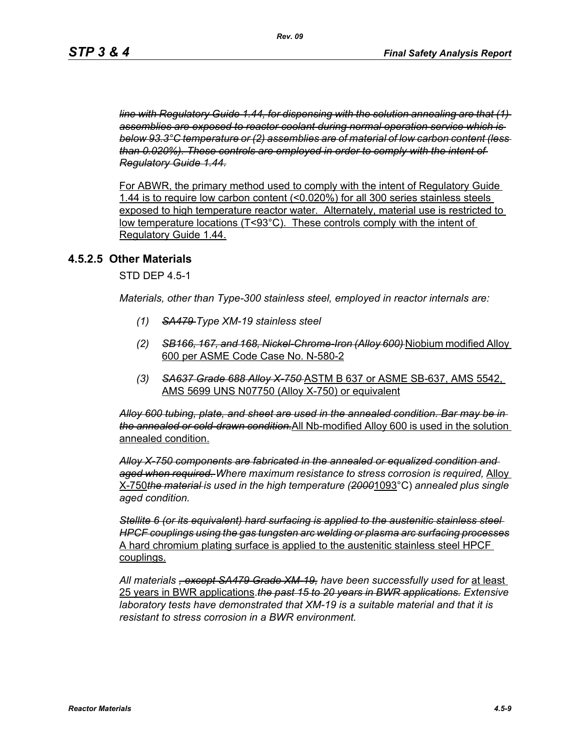*line with Regulatory Guide 1.44, for dispensing with the solution annealing are that (1) assemblies are exposed to reactor coolant during normal operation service which is below 93.3°C temperature or (2) assemblies are of material of low carbon content (less than 0.020%). These controls are employed in order to comply with the intent of Regulatory Guide 1.44.*

For ABWR, the primary method used to comply with the intent of Regulatory Guide 1.44 is to require low carbon content (<0.020%) for all 300 series stainless steels exposed to high temperature reactor water. Alternately, material use is restricted to low temperature locations (T<93°C). These controls comply with the intent of Regulatory Guide 1.44.

#### **4.5.2.5 Other Materials**

STD DEP 4.5-1

*Materials, other than Type-300 stainless steel, employed in reactor internals are:*

- *(1) SA479 Type XM-19 stainless steel*
- *(2) SB166, 167, and 168, Nickel-Chrome-Iron (Alloy 600)* Niobium modified Alloy 600 per ASME Code Case No. N-580-2
- *(3) SA637 Grade 688 Alloy X-750* ASTM B 637 or ASME SB-637, AMS 5542, AMS 5699 UNS N07750 (Alloy X-750) or equivalent

*Alloy 600 tubing, plate, and sheet are used in the annealed condition. Bar may be in the annealed or cold-drawn condition.*All Nb-modified Alloy 600 is used in the solution annealed condition.

*Alloy X-750 components are fabricated in the annealed or equalized condition and aged when required. Where maximum resistance to stress corrosion is required,* Alloy X-750*the material is used in the high temperature (2000*1093°C) *annealed plus single aged condition.*

*Stellite 6 (or its equivalent) hard surfacing is applied to the austenitic stainless steel HPCF couplings using the gas tungsten arc welding or plasma arc surfacing processes* A hard chromium plating surface is applied to the austenitic stainless steel HPCF couplings.

*All materials , except SA479 Grade XM-19, have been successfully used for* at least 25 years in BWR applications.*the past 15 to 20 years in BWR applications. Extensive laboratory tests have demonstrated that XM-19 is a suitable material and that it is resistant to stress corrosion in a BWR environment.*